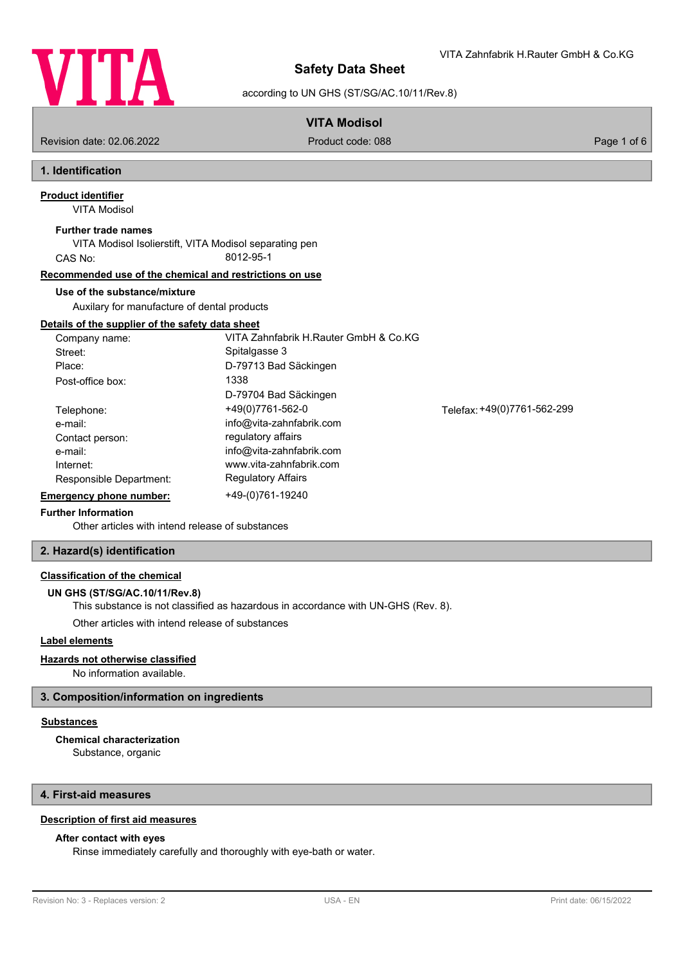

VITA Zahnfabrik H.Rauter GmbH & Co.KG

according to UN GHS (ST/SG/AC.10/11/Rev.8)

# **VITA Modisol**

Revision date: 02.06.2022 Product code: 088 Page 1 of 6

# **1. Identification**

VITA Modisol **Product identifier**

#### **Further trade names**

VITA Modisol Isolierstift, VITA Modisol separating pen CAS No: 8012-95-1

## **Recommended use of the chemical and restrictions on use**

### **Use of the substance/mixture**

Auxilary for manufacture of dental products

# **Details of the supplier of the safety data sheet**

| Company name:           | VITA Zahnfabrik H.Rauter GmbH & Co.KG |                             |
|-------------------------|---------------------------------------|-----------------------------|
| Street:                 | Spitalgasse 3                         |                             |
| Place:                  | D-79713 Bad Säckingen                 |                             |
| Post-office box:        | 1338                                  |                             |
|                         | D-79704 Bad Säckingen                 |                             |
| Telephone:              | +49(0)7761-562-0                      | Telefax: +49(0)7761-562-299 |
| e-mail:                 | info@vita-zahnfabrik.com              |                             |
| Contact person:         | regulatory affairs                    |                             |
| e-mail:                 | info@vita-zahnfabrik.com              |                             |
| Internet:               | www.vita-zahnfabrik.com               |                             |
| Responsible Department: | <b>Regulatory Affairs</b>             |                             |
| Emergency phone number: | +49-(0)761-19240                      |                             |

# **Further Information**

Other articles with intend release [of substances](http://www.vita-zahnfabrik.com)

# **2. Hazard(s) identification**

# **Classification of the chemical**

# **UN GHS (ST/SG/AC.10/11/Rev.8)**

This substance is not classified as hazardous in accordance with UN-GHS (Rev. 8).

Other articles with intend release of substances

# **Label elements**

#### **Hazards not otherwise classified**

No information available.

### **3. Composition/information on ingredients**

# **Substances**

**Chemical characterization**

Substance, organic

# **4. First-aid measures**

# **Description of first aid measures**

### **After contact with eyes**

Rinse immediately carefully and thoroughly with eye-bath or water.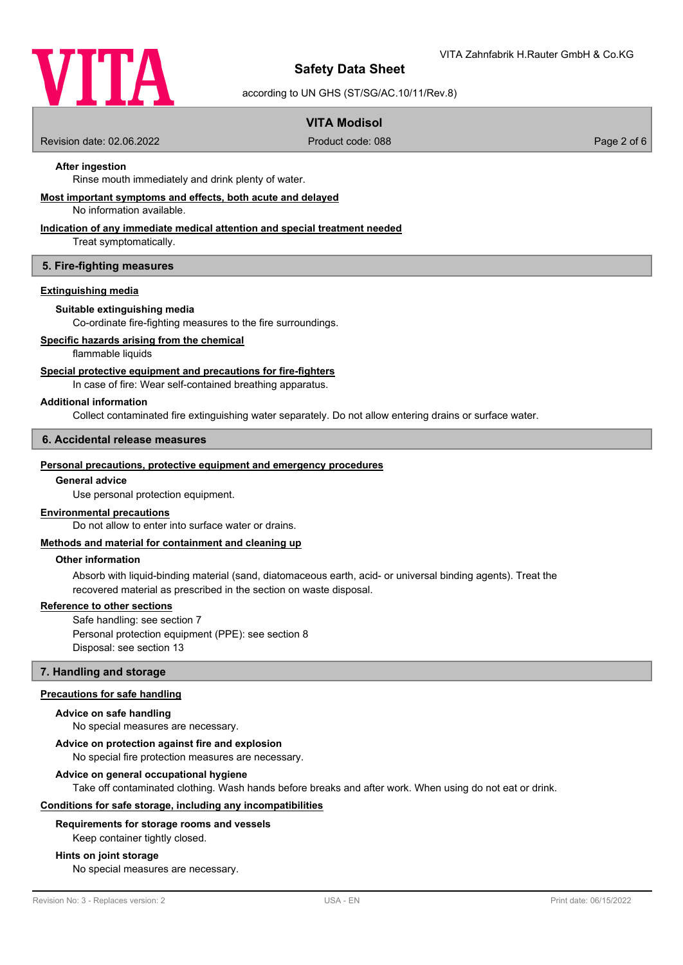

according to UN GHS (ST/SG/AC.10/11/Rev.8)

# **VITA Modisol**

Revision date: 02.06.2022 Product code: 088 Page 2 of 6

# **After ingestion**

Rinse mouth immediately and drink plenty of water.

#### **Most important symptoms and effects, both acute and delayed**

No information available.

# **Indication of any immediate medical attention and special treatment needed**

Treat symptomatically.

#### **5. Fire-fighting measures**

## **Extinguishing media**

#### **Suitable extinguishing media**

Co-ordinate fire-fighting measures to the fire surroundings.

#### **Specific hazards arising from the chemical**

flammable liquids

#### **Special protective equipment and precautions for fire-fighters**

In case of fire: Wear self-contained breathing apparatus.

#### **Additional information**

Collect contaminated fire extinguishing water separately. Do not allow entering drains or surface water.

#### **6. Accidental release measures**

#### **Personal precautions, protective equipment and emergency procedures**

#### **General advice**

Use personal protection equipment.

#### **Environmental precautions**

Do not allow to enter into surface water or drains.

#### **Methods and material for containment and cleaning up**

#### **Other information**

Absorb with liquid-binding material (sand, diatomaceous earth, acid- or universal binding agents). Treat the recovered material as prescribed in the section on waste disposal.

#### **Reference to other sections**

Safe handling: see section 7 Personal protection equipment (PPE): see section 8 Disposal: see section 13

#### **7. Handling and storage**

#### **Precautions for safe handling**

#### **Advice on safe handling**

No special measures are necessary.

#### **Advice on protection against fire and explosion**

No special fire protection measures are necessary.

#### **Advice on general occupational hygiene**

Take off contaminated clothing. Wash hands before breaks and after work. When using do not eat or drink.

#### **Conditions for safe storage, including any incompatibilities**

#### **Requirements for storage rooms and vessels**

Keep container tightly closed.

#### **Hints on joint storage**

No special measures are necessary.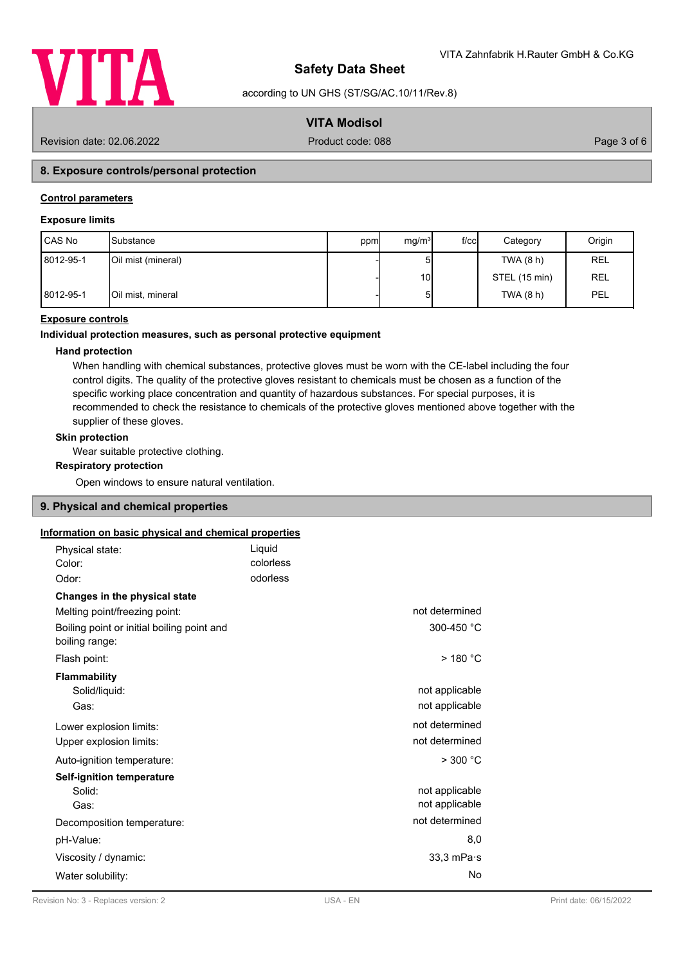

according to UN GHS (ST/SG/AC.10/11/Rev.8)

# **VITA Modisol**

Revision date: 02.06.2022 Product code: 088 Page 3 of 6

# **8. Exposure controls/personal protection**

# **Control parameters**

# **Exposure limits**

| CAS No    | <b>I</b> Substance | ppm | mg/m <sup>3</sup> | $f$ / $c$ c $\vert$ | Category      | Origin     |
|-----------|--------------------|-----|-------------------|---------------------|---------------|------------|
| 8012-95-1 | Oil mist (mineral) |     | ы                 |                     | TWA (8 h)     | <b>REL</b> |
|           |                    |     | 10 <sup>1</sup>   |                     | STEL (15 min) | <b>REL</b> |
| 8012-95-1 | Oil mist, mineral  |     | 5 <sup>1</sup>    |                     | TWA (8 h)     | PEL        |

# **Exposure controls**

#### **Individual protection measures, such as personal protective equipment**

# **Hand protection**

When handling with chemical substances, protective gloves must be worn with the CE-label including the four control digits. The quality of the protective gloves resistant to chemicals must be chosen as a function of the specific working place concentration and quantity of hazardous substances. For special purposes, it is recommended to check the resistance to chemicals of the protective gloves mentioned above together with the supplier of these gloves.

#### **Skin protection**

Wear suitable protective clothing.

#### **Respiratory protection**

Open windows to ensure natural ventilation.

# **9. Physical and chemical properties**

# **Information on basic physical and chemical properties**

| <u>UTHER ON SECTO DI JOICEL EN SHUTHUEL DI OPONITION</u>     |                      |
|--------------------------------------------------------------|----------------------|
| Physical state:                                              | Liquid               |
| Color:                                                       | colorless            |
| Odor:                                                        | odorless             |
| Changes in the physical state                                |                      |
| Melting point/freezing point:                                | not determined       |
| Boiling point or initial boiling point and<br>boiling range: | 300-450 °C           |
| Flash point:                                                 | $>$ 180 °C           |
| <b>Flammability</b>                                          |                      |
| Solid/liquid:                                                | not applicable       |
| Gas:                                                         | not applicable       |
| Lower explosion limits:                                      | not determined       |
| Upper explosion limits:                                      | not determined       |
| Auto-ignition temperature:                                   | > 300 °C             |
| <b>Self-ignition temperature</b>                             |                      |
| Solid:                                                       | not applicable       |
| Gas:                                                         | not applicable       |
| Decomposition temperature:                                   | not determined       |
| pH-Value:                                                    | 8,0                  |
| Viscosity / dynamic:                                         | $33,3$ mPa $\cdot$ s |
| Water solubility:                                            | No                   |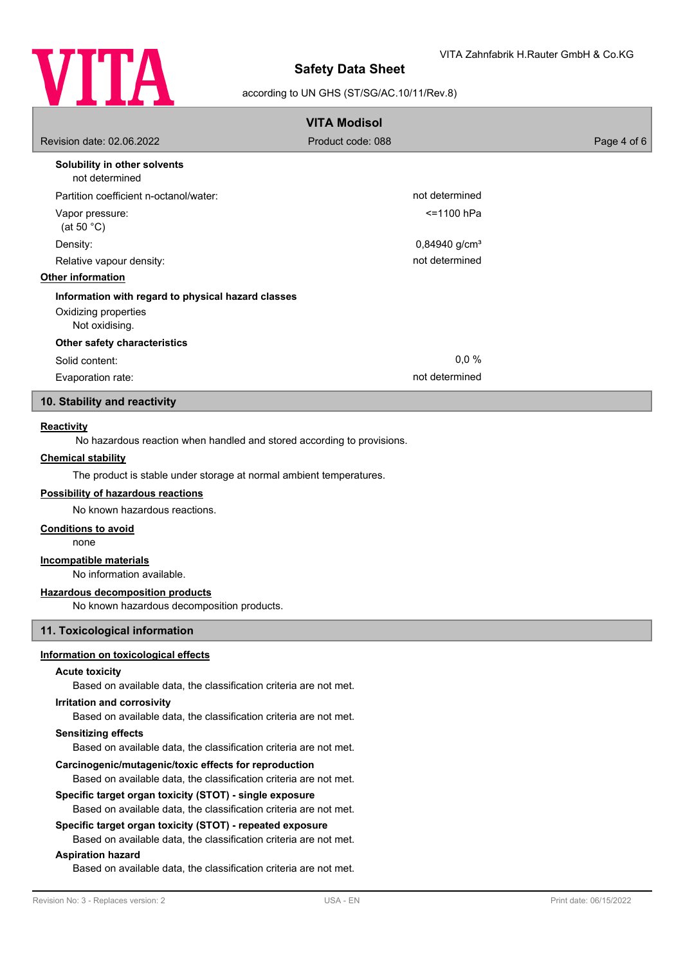

### according to UN GHS (ST/SG/AC.10/11/Rev.8)

|                                                                                              | <b>VITA Modisol</b>         |             |
|----------------------------------------------------------------------------------------------|-----------------------------|-------------|
| Revision date: 02.06.2022                                                                    | Product code: 088           | Page 4 of 6 |
| Solubility in other solvents<br>not determined                                               |                             |             |
| Partition coefficient n-octanol/water:                                                       | not determined              |             |
| Vapor pressure:<br>(at 50 $°C$ )                                                             | <=1100 hPa                  |             |
| Density:                                                                                     | $0,84940$ g/cm <sup>3</sup> |             |
| Relative vapour density:                                                                     | not determined              |             |
| <b>Other information</b>                                                                     |                             |             |
| Information with regard to physical hazard classes<br>Oxidizing properties<br>Not oxidising. |                             |             |
| Other safety characteristics                                                                 |                             |             |
| Solid content:                                                                               | 0,0%                        |             |
| Evaporation rate:                                                                            | not determined              |             |
| 10. Stability and reactivity                                                                 |                             |             |

#### **Reactivity**

No hazardous reaction when handled and stored according to provisions.

## **Chemical stability**

The product is stable under storage at normal ambient temperatures.

# **Possibility of hazardous reactions**

No known hazardous reactions.

### **Conditions to avoid**

none

## **Incompatible materials**

No information available.

#### **Hazardous decomposition products**

No known hazardous decomposition products.

#### **11. Toxicological information**

#### **Information on toxicological effects**

#### **Acute toxicity**

Based on available data, the classification criteria are not met.

#### **Irritation and corrosivity**

Based on available data, the classification criteria are not met.

#### **Sensitizing effects**

Based on available data, the classification criteria are not met.

#### **Carcinogenic/mutagenic/toxic effects for reproduction**

Based on available data, the classification criteria are not met.

#### **Specific target organ toxicity (STOT) - single exposure**

Based on available data, the classification criteria are not met.

# **Specific target organ toxicity (STOT) - repeated exposure**

Based on available data, the classification criteria are not met.

# **Aspiration hazard**

Based on available data, the classification criteria are not met.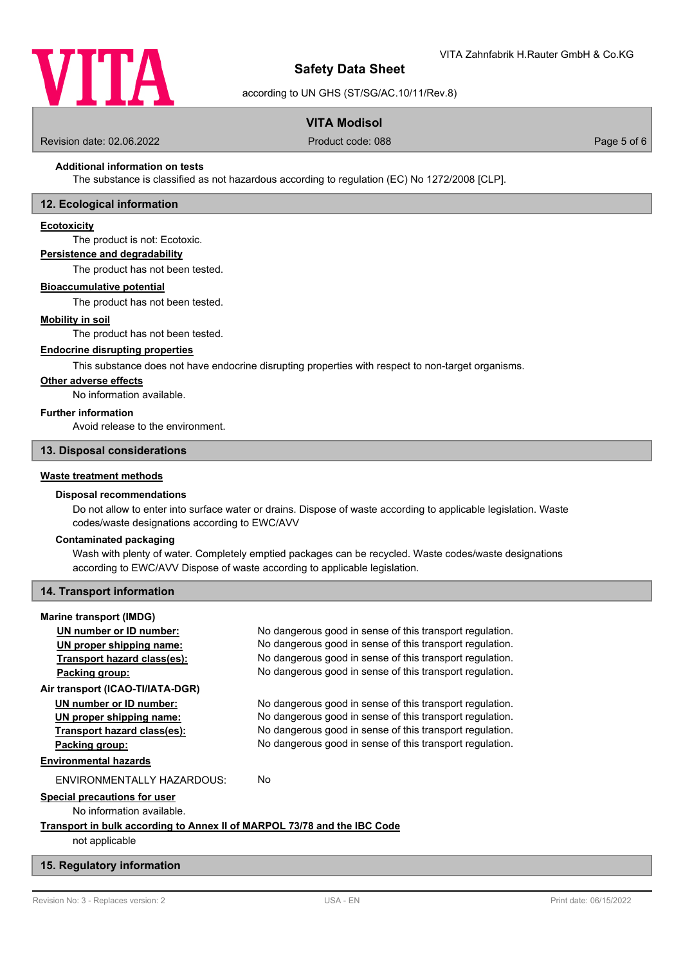

according to UN GHS (ST/SG/AC.10/11/Rev.8)

# **VITA Modisol**

Revision date: 02.06.2022 Product code: 088 Page 5 of 6

# **Additional information on tests**

The substance is classified as not hazardous according to regulation (EC) No 1272/2008 [CLP].

### **12. Ecological information**

#### **Ecotoxicity**

The product is not: Ecotoxic.

# **Persistence and degradability**

The product has not been tested.

#### **Bioaccumulative potential**

The product has not been tested.

#### **Mobility in soil**

The product has not been tested.

#### **Endocrine disrupting properties**

This substance does not have endocrine disrupting properties with respect to non-target organisms.

# **Other adverse effects**

No information available.

## **Further information**

Avoid release to the environment.

# **13. Disposal considerations**

## **Waste treatment methods**

#### **Disposal recommendations**

Do not allow to enter into surface water or drains. Dispose of waste according to applicable legislation. Waste codes/waste designations according to EWC/AVV

#### **Contaminated packaging**

Wash with plenty of water. Completely emptied packages can be recycled. Waste codes/waste designations according to EWC/AVV Dispose of waste according to applicable legislation.

#### **14. Transport information**

#### **Marine transport (IMDG)**

**UN number or ID number:** No dangerous good in sense of this transport regulation. **UN proper shipping name:** No dangerous good in sense of this transport regulation. **Transport hazard class(es):** No dangerous good in sense of this transport regulation. **Packing group:** No dangerous good in sense of this transport regulation. **Air transport (ICAO-TI/IATA-DGR) UN number or ID number:** No dangerous good in sense of this transport regulation. **UN proper shipping name:** No dangerous good in sense of this transport regulation. **Transport hazard class(es):** No dangerous good in sense of this transport regulation. **Packing group:** No dangerous good in sense of this transport regulation. **Environmental hazards** ENVIRONMENTALLY HAZARDOUS: No **Special precautions for user** No information available.

# **Transport in bulk according to Annex II of MARPOL 73/78 and the IBC Code**

not applicable

#### **15. Regulatory information**